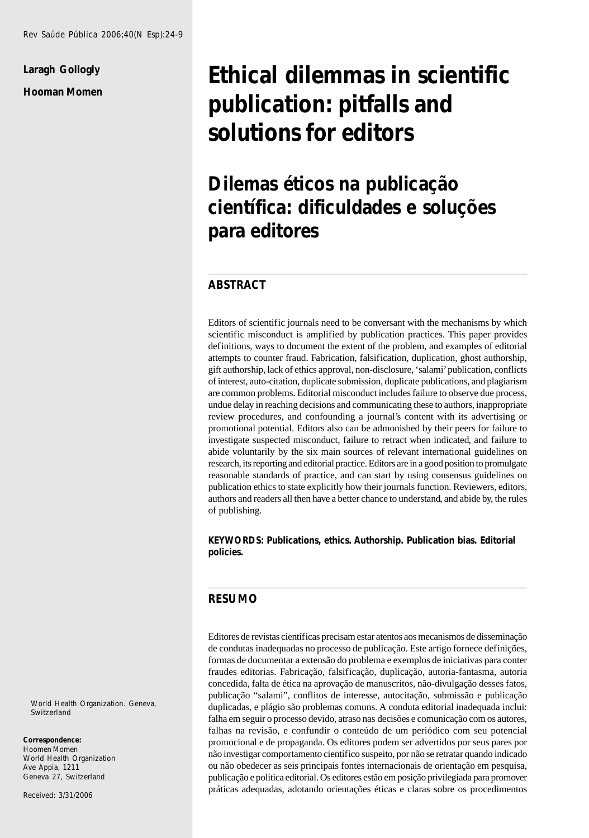**Laragh Gollogly Hooman Momen**

# **Ethical dilemmas in scientific publication: pitfalls and solutions for editors**

## **Dilemas éticos na publicação científica: dificuldades e soluções para editores**

### **ABSTRACT**

Editors of scientific journals need to be conversant with the mechanisms by which scientific misconduct is amplified by publication practices. This paper provides definitions, ways to document the extent of the problem, and examples of editorial attempts to counter fraud. Fabrication, falsification, duplication, ghost authorship, gift authorship, lack of ethics approval, non-disclosure, 'salami' publication, conflicts of interest, auto-citation, duplicate submission, duplicate publications, and plagiarism are common problems. Editorial misconduct includes failure to observe due process, undue delay in reaching decisions and communicating these to authors, inappropriate review procedures, and confounding a journal's content with its advertising or promotional potential. Editors also can be admonished by their peers for failure to investigate suspected misconduct, failure to retract when indicated, and failure to abide voluntarily by the six main sources of relevant international guidelines on research, its reporting and editorial practice. Editors are in a good position to promulgate reasonable standards of practice, and can start by using consensus guidelines on publication ethics to state explicitly how their journals function. Reviewers, editors, authors and readers all then have a better chance to understand, and abide by, the rules of publishing.

**KEYWORDS: Publications, ethics. Authorship. Publication bias. Editorial policies.**

### **RESUMO**

Editores de revistas científicas precisam estar atentos aos mecanismos de disseminação de condutas inadequadas no processo de publicação. Este artigo fornece definições, formas de documentar a extensão do problema e exemplos de iniciativas para conter fraudes editorias. Fabricação, falsificação, duplicação, autoria-fantasma, autoria concedida, falta de ética na aprovação de manuscritos, não-divulgação desses fatos, publicação "salami", conflitos de interesse, autocitação, submissão e publicação duplicadas, e plágio são problemas comuns. A conduta editorial inadequada inclui: falha em seguir o processo devido, atraso nas decisões e comunicação com os autores, falhas na revisão, e confundir o conteúdo de um periódico com seu potencial promocional e de propaganda. Os editores podem ser advertidos por seus pares por não investigar comportamento científico suspeito, por não se retratar quando indicado ou não obedecer as seis principais fontes internacionais de orientação em pesquisa, publicação e política editorial. Os editores estão em posição privilegiada para promover práticas adequadas, adotando orientações éticas e claras sobre os procedimentos

World Health Organization. Geneva, Switzerland

#### **Correspondence:**

Hoomen Momen World Health Organization Ave Appia, 1211 Geneva 27, Switzerland

Received: 3/31/2006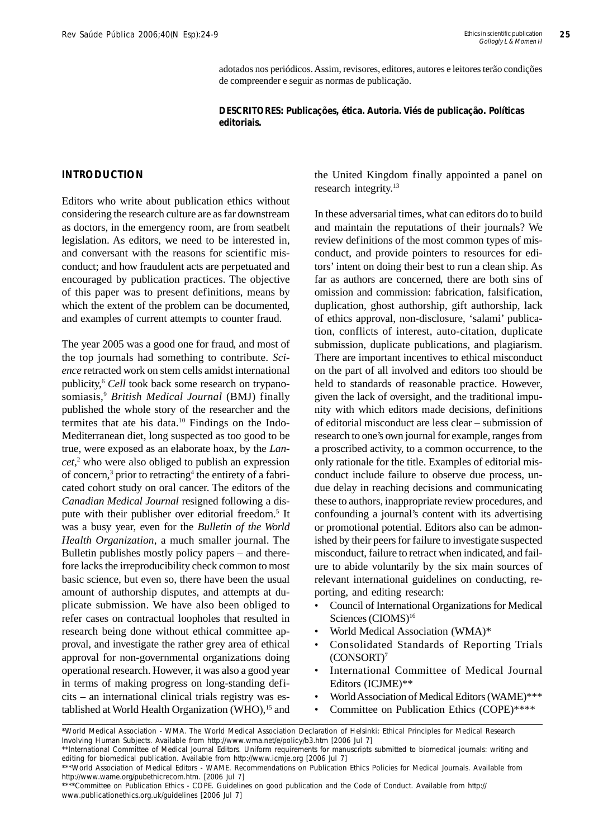adotados nos periódicos. Assim, revisores, editores, autores e leitores terão condições de compreender e seguir as normas de publicação.

**DESCRITORES: Publicações, ética. Autoria. Viés de publicação. Políticas editoriais.**

#### **INTRODUCTION**

Editors who write about publication ethics without considering the research culture are as far downstream as doctors, in the emergency room, are from seatbelt legislation. As editors, we need to be interested in, and conversant with the reasons for scientific misconduct; and how fraudulent acts are perpetuated and encouraged by publication practices. The objective of this paper was to present definitions, means by which the extent of the problem can be documented, and examples of current attempts to counter fraud.

The year 2005 was a good one for fraud, and most of the top journals had something to contribute. *Science* retracted work on stem cells amidst international publicity,<sup>6</sup> *Cell* took back some research on trypanosomiasis,9 *British Medical Journal* (BMJ) finally published the whole story of the researcher and the termites that ate his data.10 Findings on the Indo-Mediterranean diet, long suspected as too good to be true, were exposed as an elaborate hoax, by the *Lancet*, 2 who were also obliged to publish an expression of concern,<sup>3</sup> prior to retracting<sup>4</sup> the entirety of a fabricated cohort study on oral cancer. The editors of the *Canadian Medical Journal* resigned following a dispute with their publisher over editorial freedom.<sup>5</sup> It was a busy year, even for the *Bulletin of the World Health Organization*, a much smaller journal. The Bulletin publishes mostly policy papers – and therefore lacks the irreproducibility check common to most basic science, but even so, there have been the usual amount of authorship disputes, and attempts at duplicate submission. We have also been obliged to refer cases on contractual loopholes that resulted in research being done without ethical committee approval, and investigate the rather grey area of ethical approval for non-governmental organizations doing operational research. However, it was also a good year in terms of making progress on long-standing deficits – an international clinical trials registry was established at World Health Organization (WHO),<sup>15</sup> and the United Kingdom finally appointed a panel on research integrity.13

In these adversarial times, what can editors do to build and maintain the reputations of their journals? We review definitions of the most common types of misconduct, and provide pointers to resources for editors' intent on doing their best to run a clean ship. As far as authors are concerned, there are both sins of omission and commission: fabrication, falsification, duplication, ghost authorship, gift authorship, lack of ethics approval, non-disclosure, 'salami' publication, conflicts of interest, auto-citation, duplicate submission, duplicate publications, and plagiarism. There are important incentives to ethical misconduct on the part of all involved and editors too should be held to standards of reasonable practice. However, given the lack of oversight, and the traditional impunity with which editors made decisions, definitions of editorial misconduct are less clear – submission of research to one's own journal for example, ranges from a proscribed activity, to a common occurrence, to the only rationale for the title. Examples of editorial misconduct include failure to observe due process, undue delay in reaching decisions and communicating these to authors, inappropriate review procedures, and confounding a journal's content with its advertising or promotional potential. Editors also can be admonished by their peers for failure to investigate suspected misconduct, failure to retract when indicated, and failure to abide voluntarily by the six main sources of relevant international guidelines on conducting, reporting, and editing research:

- Council of International Organizations for Medical Sciences (CIOMS)<sup>16</sup>
- World Medical Association (WMA)\*
- Consolidated Standards of Reporting Trials (CONSORT)7
- International Committee of Medical Journal Editors (ICJME)\*\*
- World Association of Medical Editors (WAME)\*\*\*
- Committee on Publication Ethics (COPE)\*\*\*\*

<sup>\*</sup>World Medical Association - WMA. The World Medical Association Declaration of Helsinki: Ethical Principles for Medical Research Involving Human Subjects. Available from http://www.wma.net/e/policy/b3.htm [2006 Jul 7]

<sup>\*\*</sup>International Committee of Medical Journal Editors. Uniform requirements for manuscripts submitted to biomedical journals: writing and editing for biomedical publication. Available from http://www.icmje.org [2006 Jul 7]

<sup>\*\*\*</sup>World Association of Medical Editors - WAME. Recommendations on Publication Ethics Policies for Medical Journals. Available from http://www.wame.org/pubethicrecom.htm. [2006 Jul 7]

<sup>\*\*\*\*</sup>Committee on Publication Ethics - COPE. Guidelines on good publication and the Code of Conduct. Available from http:// www.publicationethics.org.uk/guidelines [2006 Jul 7]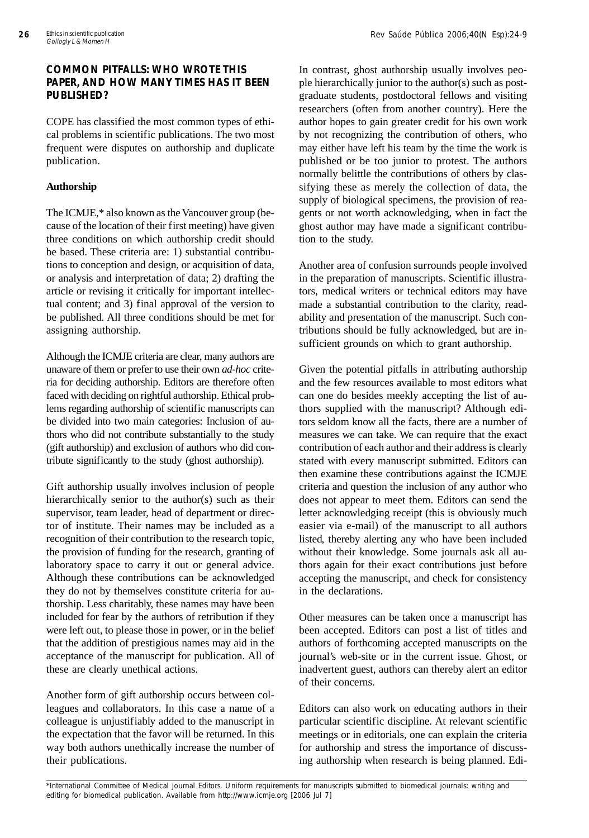#### **COMMON PITFALLS: WHO WROTE THIS PAPER, AND HOW MANY TIMES HAS IT BEEN PUBLISHED?**

COPE has classified the most common types of ethical problems in scientific publications. The two most frequent were disputes on authorship and duplicate publication.

#### **Authorship**

The ICMJE,\* also known as the Vancouver group (because of the location of their first meeting) have given three conditions on which authorship credit should be based. These criteria are: 1) substantial contributions to conception and design, or acquisition of data, or analysis and interpretation of data; 2) drafting the article or revising it critically for important intellectual content; and 3) final approval of the version to be published. All three conditions should be met for assigning authorship.

Although the ICMJE criteria are clear, many authors are unaware of them or prefer to use their own *ad-hoc* criteria for deciding authorship. Editors are therefore often faced with deciding on rightful authorship. Ethical problems regarding authorship of scientific manuscripts can be divided into two main categories: Inclusion of authors who did not contribute substantially to the study (gift authorship) and exclusion of authors who did contribute significantly to the study (ghost authorship).

Gift authorship usually involves inclusion of people hierarchically senior to the author(s) such as their supervisor, team leader, head of department or director of institute. Their names may be included as a recognition of their contribution to the research topic, the provision of funding for the research, granting of laboratory space to carry it out or general advice. Although these contributions can be acknowledged they do not by themselves constitute criteria for authorship. Less charitably, these names may have been included for fear by the authors of retribution if they were left out, to please those in power, or in the belief that the addition of prestigious names may aid in the acceptance of the manuscript for publication. All of these are clearly unethical actions.

Another form of gift authorship occurs between colleagues and collaborators. In this case a name of a colleague is unjustifiably added to the manuscript in the expectation that the favor will be returned. In this way both authors unethically increase the number of their publications.

In contrast, ghost authorship usually involves people hierarchically junior to the author(s) such as postgraduate students, postdoctoral fellows and visiting researchers (often from another country). Here the author hopes to gain greater credit for his own work by not recognizing the contribution of others, who may either have left his team by the time the work is published or be too junior to protest. The authors normally belittle the contributions of others by classifying these as merely the collection of data, the supply of biological specimens, the provision of reagents or not worth acknowledging, when in fact the ghost author may have made a significant contribution to the study.

Another area of confusion surrounds people involved in the preparation of manuscripts. Scientific illustrators, medical writers or technical editors may have made a substantial contribution to the clarity, readability and presentation of the manuscript. Such contributions should be fully acknowledged, but are insufficient grounds on which to grant authorship.

Given the potential pitfalls in attributing authorship and the few resources available to most editors what can one do besides meekly accepting the list of authors supplied with the manuscript? Although editors seldom know all the facts, there are a number of measures we can take. We can require that the exact contribution of each author and their address is clearly stated with every manuscript submitted. Editors can then examine these contributions against the ICMJE criteria and question the inclusion of any author who does not appear to meet them. Editors can send the letter acknowledging receipt (this is obviously much easier via e-mail) of the manuscript to all authors listed, thereby alerting any who have been included without their knowledge. Some journals ask all authors again for their exact contributions just before accepting the manuscript, and check for consistency in the declarations.

Other measures can be taken once a manuscript has been accepted. Editors can post a list of titles and authors of forthcoming accepted manuscripts on the journal's web-site or in the current issue. Ghost, or inadvertent guest, authors can thereby alert an editor of their concerns.

Editors can also work on educating authors in their particular scientific discipline. At relevant scientific meetings or in editorials, one can explain the criteria for authorship and stress the importance of discussing authorship when research is being planned. Edi-

\*International Committee of Medical Journal Editors. Uniform requirements for manuscripts submitted to biomedical journals: writing and editing for biomedical publication. Available from http://www.icmje.org [2006 Jul 7]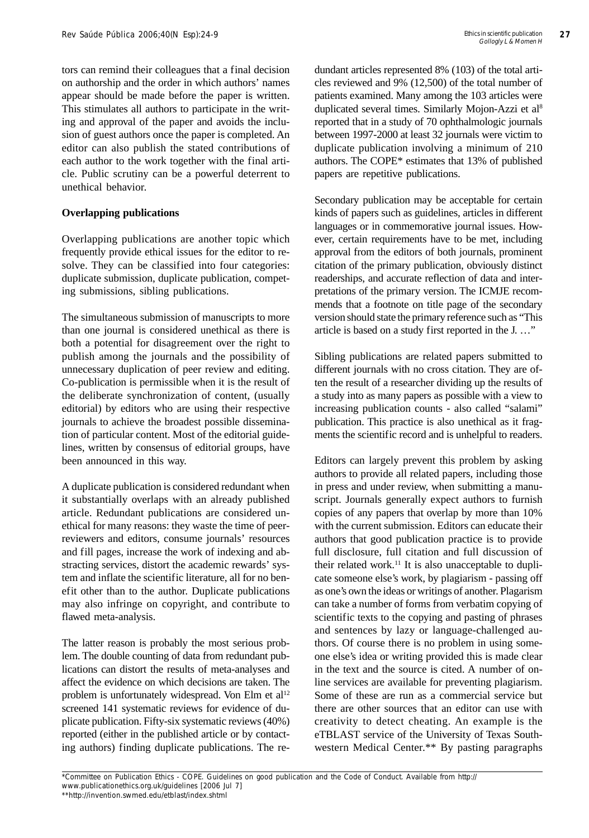tors can remind their colleagues that a final decision on authorship and the order in which authors' names appear should be made before the paper is written. This stimulates all authors to participate in the writing and approval of the paper and avoids the inclusion of guest authors once the paper is completed. An editor can also publish the stated contributions of each author to the work together with the final article. Public scrutiny can be a powerful deterrent to unethical behavior.

#### **Overlapping publications**

Overlapping publications are another topic which frequently provide ethical issues for the editor to resolve. They can be classified into four categories: duplicate submission, duplicate publication, competing submissions, sibling publications.

The simultaneous submission of manuscripts to more than one journal is considered unethical as there is both a potential for disagreement over the right to publish among the journals and the possibility of unnecessary duplication of peer review and editing. Co-publication is permissible when it is the result of the deliberate synchronization of content, (usually editorial) by editors who are using their respective journals to achieve the broadest possible dissemination of particular content. Most of the editorial guidelines, written by consensus of editorial groups, have been announced in this way.

A duplicate publication is considered redundant when it substantially overlaps with an already published article. Redundant publications are considered unethical for many reasons: they waste the time of peerreviewers and editors, consume journals' resources and fill pages, increase the work of indexing and abstracting services, distort the academic rewards' system and inflate the scientific literature, all for no benefit other than to the author. Duplicate publications may also infringe on copyright, and contribute to flawed meta-analysis.

The latter reason is probably the most serious problem. The double counting of data from redundant publications can distort the results of meta-analyses and affect the evidence on which decisions are taken. The problem is unfortunately widespread. Von Elm et  $al<sup>12</sup>$ screened 141 systematic reviews for evidence of duplicate publication. Fifty-six systematic reviews (40%) reported (either in the published article or by contacting authors) finding duplicate publications. The redundant articles represented 8% (103) of the total articles reviewed and 9% (12,500) of the total number of patients examined. Many among the 103 articles were duplicated several times. Similarly Mojon-Azzi et al<sup>8</sup> reported that in a study of 70 ophthalmologic journals between 1997-2000 at least 32 journals were victim to duplicate publication involving a minimum of 210 authors. The COPE\* estimates that 13% of published papers are repetitive publications.

Secondary publication may be acceptable for certain kinds of papers such as guidelines, articles in different languages or in commemorative journal issues. However, certain requirements have to be met, including approval from the editors of both journals, prominent citation of the primary publication, obviously distinct readerships, and accurate reflection of data and interpretations of the primary version. The ICMJE recommends that a footnote on title page of the secondary version should state the primary reference such as "This article is based on a study first reported in the J. …"

Sibling publications are related papers submitted to different journals with no cross citation. They are often the result of a researcher dividing up the results of a study into as many papers as possible with a view to increasing publication counts - also called "salami" publication. This practice is also unethical as it fragments the scientific record and is unhelpful to readers.

Editors can largely prevent this problem by asking authors to provide all related papers, including those in press and under review, when submitting a manuscript. Journals generally expect authors to furnish copies of any papers that overlap by more than 10% with the current submission. Editors can educate their authors that good publication practice is to provide full disclosure, full citation and full discussion of their related work.<sup>11</sup> It is also unacceptable to duplicate someone else's work, by plagiarism - passing off as one's own the ideas or writings of another. Plagarism can take a number of forms from verbatim copying of scientific texts to the copying and pasting of phrases and sentences by lazy or language-challenged authors. Of course there is no problem in using someone else's idea or writing provided this is made clear in the text and the source is cited. A number of online services are available for preventing plagiarism. Some of these are run as a commercial service but there are other sources that an editor can use with creativity to detect cheating. An example is the eTBLAST service of the University of Texas Southwestern Medical Center.\*\* By pasting paragraphs

\*Committee on Publication Ethics - COPE. Guidelines on good publication and the Code of Conduct. Available from http:// www.publicationethics.org.uk/guidelines [2006 Jul 7] \*\*http://invention.swmed.edu/etblast/index.shtml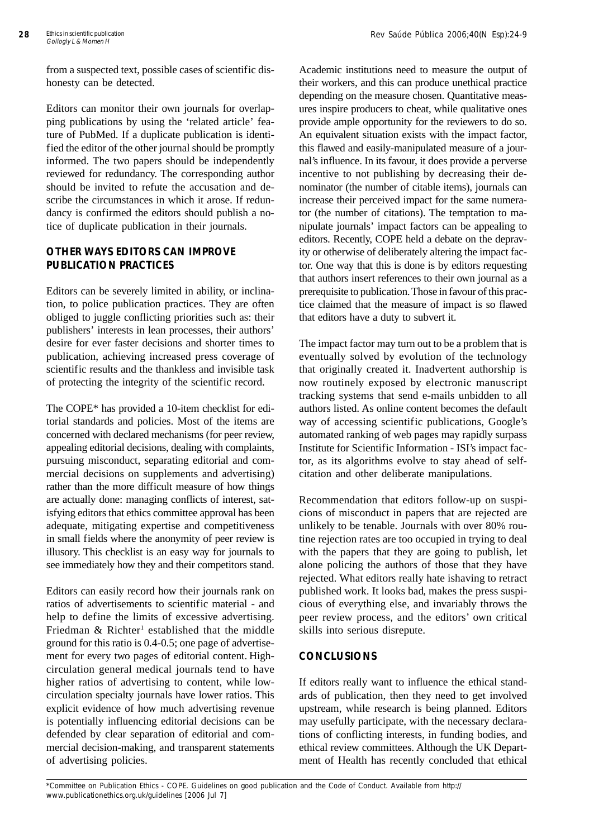from a suspected text, possible cases of scientific dishonesty can be detected.

Editors can monitor their own journals for overlapping publications by using the 'related article' feature of PubMed. If a duplicate publication is identified the editor of the other journal should be promptly informed. The two papers should be independently reviewed for redundancy. The corresponding author should be invited to refute the accusation and describe the circumstances in which it arose. If redundancy is confirmed the editors should publish a notice of duplicate publication in their journals.

#### **OTHER WAYS EDITORS CAN IMPROVE PUBLICATION PRACTICES**

Editors can be severely limited in ability, or inclination, to police publication practices. They are often obliged to juggle conflicting priorities such as: their publishers' interests in lean processes, their authors' desire for ever faster decisions and shorter times to publication, achieving increased press coverage of scientific results and the thankless and invisible task of protecting the integrity of the scientific record.

The COPE\* has provided a 10-item checklist for editorial standards and policies. Most of the items are concerned with declared mechanisms (for peer review, appealing editorial decisions, dealing with complaints, pursuing misconduct, separating editorial and commercial decisions on supplements and advertising) rather than the more difficult measure of how things are actually done: managing conflicts of interest, satisfying editors that ethics committee approval has been adequate, mitigating expertise and competitiveness in small fields where the anonymity of peer review is illusory. This checklist is an easy way for journals to see immediately how they and their competitors stand.

Editors can easily record how their journals rank on ratios of advertisements to scientific material - and help to define the limits of excessive advertising. Friedman  $\&$  Richter<sup>1</sup> established that the middle ground for this ratio is 0.4-0.5; one page of advertisement for every two pages of editorial content. Highcirculation general medical journals tend to have higher ratios of advertising to content, while lowcirculation specialty journals have lower ratios. This explicit evidence of how much advertising revenue is potentially influencing editorial decisions can be defended by clear separation of editorial and commercial decision-making, and transparent statements of advertising policies.

Academic institutions need to measure the output of their workers, and this can produce unethical practice depending on the measure chosen. Quantitative measures inspire producers to cheat, while qualitative ones provide ample opportunity for the reviewers to do so. An equivalent situation exists with the impact factor, this flawed and easily-manipulated measure of a journal's influence. In its favour, it does provide a perverse incentive to not publishing by decreasing their denominator (the number of citable items), journals can increase their perceived impact for the same numerator (the number of citations). The temptation to manipulate journals' impact factors can be appealing to editors. Recently, COPE held a debate on the depravity or otherwise of deliberately altering the impact factor. One way that this is done is by editors requesting that authors insert references to their own journal as a prerequisite to publication. Those in favour of this practice claimed that the measure of impact is so flawed that editors have a duty to subvert it.

The impact factor may turn out to be a problem that is eventually solved by evolution of the technology that originally created it. Inadvertent authorship is now routinely exposed by electronic manuscript tracking systems that send e-mails unbidden to all authors listed. As online content becomes the default way of accessing scientific publications, Google's automated ranking of web pages may rapidly surpass Institute for Scientific Information - ISI's impact factor, as its algorithms evolve to stay ahead of selfcitation and other deliberate manipulations.

Recommendation that editors follow-up on suspicions of misconduct in papers that are rejected are unlikely to be tenable. Journals with over 80% routine rejection rates are too occupied in trying to deal with the papers that they are going to publish, let alone policing the authors of those that they have rejected. What editors really hate ishaving to retract published work. It looks bad, makes the press suspicious of everything else, and invariably throws the peer review process, and the editors' own critical skills into serious disrepute.

#### **CONCLUSIONS**

If editors really want to influence the ethical standards of publication, then they need to get involved upstream, while research is being planned. Editors may usefully participate, with the necessary declarations of conflicting interests, in funding bodies, and ethical review committees. Although the UK Department of Health has recently concluded that ethical

\*Committee on Publication Ethics - COPE. Guidelines on good publication and the Code of Conduct. Available from http:// www.publicationethics.org.uk/guidelines [2006 Jul 7]